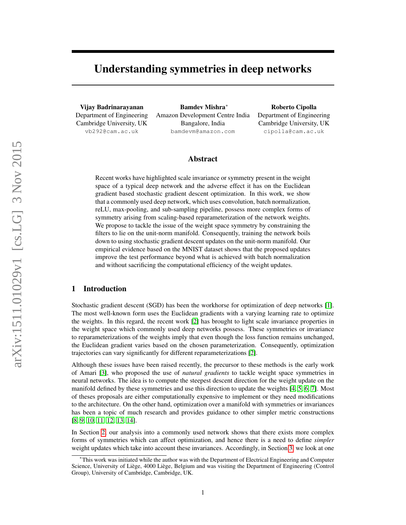# Understanding symmetries in deep networks

Vijay Badrinarayanan Department of Engineering Cambridge University, UK vb292@cam.ac.uk

Bamdev Mishra<sup>∗</sup> Amazon Development Centre India Bangalore, India bamdevm@amazon.com

Roberto Cipolla Department of Engineering Cambridge University, UK cipolla@cam.ac.uk

#### Abstract

Recent works have highlighted scale invariance or symmetry present in the weight space of a typical deep network and the adverse effect it has on the Euclidean gradient based stochastic gradient descent optimization. In this work, we show that a commonly used deep network, which uses convolution, batch normalization, reLU, max-pooling, and sub-sampling pipeline, possess more complex forms of symmetry arising from scaling-based reparameterization of the network weights. We propose to tackle the issue of the weight space symmetry by constraining the filters to lie on the unit-norm manifold. Consequently, training the network boils down to using stochastic gradient descent updates on the unit-norm manifold. Our empirical evidence based on the MNIST dataset shows that the proposed updates improve the test performance beyond what is achieved with batch normalization and without sacrificing the computational efficiency of the weight updates.

## 1 Introduction

Stochastic gradient descent (SGD) has been the workhorse for optimization of deep networks [\[1\]](#page-4-0). The most well-known form uses the Euclidean gradients with a varying learning rate to optimize the weights. In this regard, the recent work [\[2\]](#page-4-1) has brought to light scale invariance properties in the weight space which commonly used deep networks possess. These symmetries or invariance to reparameterizations of the weights imply that even though the loss function remains unchanged, the Euclidean gradient varies based on the chosen parameterization. Consequently, optimization trajectories can vary significantly for different reparameterizations [\[2\]](#page-4-1).

Although these issues have been raised recently, the precursor to these methods is the early work of Amari [\[3\]](#page-4-2), who proposed the use of *natural gradients* to tackle weight space symmetries in neural networks. The idea is to compute the steepest descent direction for the weight update on the manifold defined by these symmetries and use this direction to update the weights [\[4,](#page-4-3) [5,](#page-4-4) [6,](#page-4-5) [7\]](#page-4-6). Most of theses proposals are either computationally expensive to implement or they need modifications to the architecture. On the other hand, optimization over a manifold with symmetries or invariances has been a topic of much research and provides guidance to other simpler metric constructions [\[8,](#page-4-7) [9,](#page-4-8) [10,](#page-4-9) [11,](#page-4-10) [12,](#page-4-11) [13,](#page-4-12) [14\]](#page-4-13).

In Section [2,](#page-1-0) our analysis into a commonly used network shows that there exists more complex forms of symmetries which can affect optimization, and hence there is a need to define *simpler* weight updates which take into account these invariances. Accordingly, in Section [3,](#page-2-0) we look at one

<sup>∗</sup>This work was initiated while the author was with the Department of Electrical Engineering and Computer Science, University of Liège, 4000 Liège, Belgium and was visiting the Department of Engineering (Control Group), University of Cambridge, Cambridge, UK.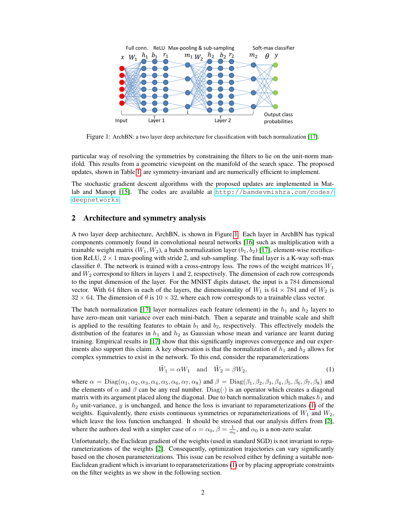

<span id="page-1-1"></span>Figure 1: ArchBN: a two layer deep architecture for classification with batch normalization [\[17\]](#page-4-14).

particular way of resolving the symmetries by constraining the filters to lie on the unit-norm manifold. This results from a geometric viewpoint on the manifold of the search space. The proposed updates, shown in Table [1,](#page-2-1) are symmetry-invariant and are numerically efficient to implement.

The stochastic gradient descent algorithms with the proposed updates are implemented in Matlab and Manopt [\[15\]](#page-4-15). The codes are available at [http://bamdevmishra.com/codes/](http://bamdevmishra.com/codes/deepnetworks) [deepnetworks](http://bamdevmishra.com/codes/deepnetworks).

## <span id="page-1-0"></span>2 Architecture and symmetry analysis

A two layer deep architecture, ArchBN, is shown in Figure [1.](#page-1-1) Each layer in ArchBN has typical components commonly found in convolutional neural networks [\[16\]](#page-4-16) such as multiplication with a trainable weight matrix  $(W_1, W_2)$ , a batch normalization layer  $(b_1, b_2)$  [\[17\]](#page-4-14), element-wise rectification ReLU,  $2 \times 1$  max-pooling with stride 2, and sub-sampling. The final layer is a K-way soft-max classifier  $\theta$ . The network is trained with a cross-entropy loss. The rows of the weight matrices  $W_1$ and  $W_2$  correspond to filters in layers 1 and 2, respectively. The dimension of each row corresponds to the input dimension of the layer. For the MNIST digits dataset, the input is a 784 dimensional vector. With 64 filters in each of the layers, the dimensionality of  $W_1$  is 64  $\times$  784 and of  $W_2$  is  $32 \times 64$ . The dimension of  $\theta$  is  $10 \times 32$ , where each row corresponds to a trainable class vector.

The batch normalization [\[17\]](#page-4-14) layer normalizes each feature (element) in the  $h_1$  and  $h_2$  layers to have zero-mean unit variance over each mini-batch. Then a separate and trainable scale and shift is applied to the resulting features to obtain  $b_1$  and  $b_2$ , respectively. This effectively models the distribution of the features in  $h_1$  and  $h_2$  as Gaussian whose mean and variance are learnt during training. Empirical results in [\[17\]](#page-4-14) show that this significantly improves convergence and our experiments also support this claim. A key observation is that the normalization of  $h_1$  and  $h_2$  allows for complex symmetries to exist in the network. To this end, consider the reparameterizations

<span id="page-1-2"></span>
$$
\tilde{W}_1 = \alpha W_1 \quad \text{and} \quad \tilde{W}_2 = \beta W_2,\tag{1}
$$

where  $\alpha = \text{Diag}(\alpha_1, \alpha_2, \alpha_3, \alpha_4, \alpha_5, \alpha_6, \alpha_7, \alpha_8)$  and  $\beta = \text{Diag}(\beta_1, \beta_2, \beta_3, \beta_4, \beta_5, \beta_6, \beta_7, \beta_8)$  and the elements of  $\alpha$  and  $\beta$  can be any real number. Diag( $\cdot$ ) is an operator which creates a diagonal matrix with its argument placed along the diagonal. Due to batch normalization which makes  $h_1$  and  $h_2$  unit-variance, y is unchanged, and hence the loss is invariant to reparameterizations [\(1\)](#page-1-2) of the weights. Equivalently, there exists continuous symmetries or reparameterizations of  $W_1$  and  $W_2$ , which leave the loss function unchanged. It should be stressed that our analysis differs from [\[2\]](#page-4-1), where the authors deal with a simpler case of  $\alpha = \alpha_0$ ,  $\beta = \frac{1}{\alpha_0}$ , and  $\alpha_0$  is a non-zero scalar.

Unfortunately, the Euclidean gradient of the weights (used in standard SGD) is not invariant to reparameterizations of the weights [\[2\]](#page-4-1). Consequently, optimization trajectories can vary significantly based on the chosen parameterizations. This issue can be resolved either by defining a suitable non-Euclidean gradient which is invariant to reparameterizations [\(1\)](#page-1-2) or by placing appropriate constraints on the filter weights as we show in the following section.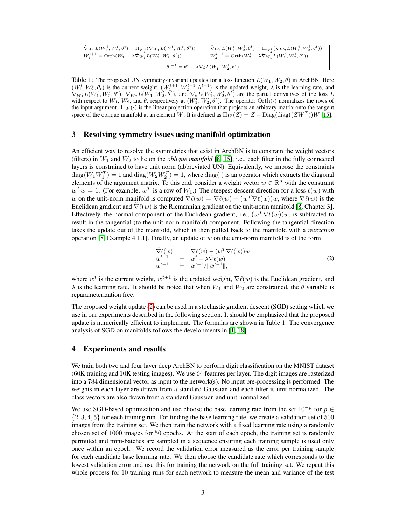| $\widetilde{\nabla}_{W_1} L(W_1^t, W_2^t, \theta^t) = \Pi_{W_1^t} (\nabla_{W_1} L(W_1^t, W_2^t, \theta^t))$ | $\overline{\tilde{\nabla}_{W_2}L(W_1^t, W_2^t, \theta^t) = \Pi_{W_2^t}(\nabla_{W_2}L(W_1^t, W_2^t, \theta^t))$ |  |
|-------------------------------------------------------------------------------------------------------------|----------------------------------------------------------------------------------------------------------------|--|
| $W_1^{t+1} = \text{Orth}(W_1^t - \lambda \tilde{\nabla}_{W_1} L(W_1^t, W_2^t, \theta^t))$                   | $W_2^{t+1} = \text{Orth}(W_2^t - \lambda \tilde{\nabla}_{W_1} L(W_1^t, W_2^t, \theta^t))$                      |  |
| $\theta^{t+1} = \theta^t - \lambda \nabla_{\theta} L(W_1^t, W_2^t, \theta^t)$                               |                                                                                                                |  |

<span id="page-2-1"></span>Table 1: The proposed UN symmetry-invariant updates for a loss function  $L(W_1, W_2, \theta)$  in ArchBN. Here  $(W_1^t, W_2^t, \theta_t)$  is the current weight,  $(W_1^{t+1}, W_2^{t+1}, \theta^{t+1})$  is the updated weight,  $\lambda$  is the learning rate, and  $\nabla_{W_1} L(W_1^t, W_2^t, \theta^t), \nabla_{W_2} L(W_1^t, W_2^t, \theta^t)$ , and  $\nabla_{\theta} L(W_1^t, W_2^t, \theta^t)$  are the partial derivatives of the loss  $L$ with respect to  $W_1$ ,  $W_2$ , and  $\theta$ , respectively at  $(W_1^t, W_2^t, \theta^t)$ . The operator  $Orth(\cdot)$  normalizes the rows of the input argument.  $\Pi_W(\cdot)$  is the linear projection operation that projects an arbitrary matrix onto the tangent space of the oblique manifold at an element W. It is defined as  $\Pi_W(Z) = Z - \text{Diag}(\text{diag}((ZW^T))W$  [\[15\]](#page-4-15).

## <span id="page-2-0"></span>3 Resolving symmetry issues using manifold optimization

An efficient way to resolve the symmetries that exist in ArchBN is to constrain the weight vectors (filters) in  $W_1$  and  $W_2$  to lie on the *oblique manifold* [\[8,](#page-4-7) [15\]](#page-4-15), i.e., each filter in the fully connected layers is constrained to have unit norm (abbreviated UN). Equivalently, we impose the constraints  $\text{diag}(W_1W_1^T) = 1$  and  $\text{diag}(W_2W_2^T) = 1$ , where  $\text{diag}(\cdot)$  is an operator which extracts the diagonal elements of the argument matrix. To this end, consider a weight vector  $w \in \mathbb{R}^n$  with the constraint  $w^T w = 1$ . (For example,  $w^T$  is a row of  $W_1$ .) The steepest descent direction for a loss  $\ell(w)$  with w on the unit-norm manifold is computed  $\tilde{\nabla}\ell(w) = \nabla\ell(w) - (w^T \nabla \ell(w))w$ , where  $\nabla\ell(w)$  is the Euclidean gradient and  $\overline{\nabla}\ell(w)$  is the Riemannian gradient on the unit-norm manifold [\[8,](#page-4-7) Chapter 3]. Effectively, the normal component of the Euclidean gradient, i.e.,  $(w^T \nabla \ell(w))w$ , is subtracted to result in the tangential (to the unit-norm manifold) component. Following the tangential direction takes the update out of the manifold, which is then pulled back to the manifold with a *retraction* operation [\[8,](#page-4-7) Example 4.1.1]. Finally, an update of w on the unit-norm manifold is of the form

<span id="page-2-2"></span>
$$
\tilde{\nabla}\ell(w) = \nabla\ell(w) - (w^T \nabla\ell(w))w \n\tilde{w}^{t+1} = w^t - \lambda \tilde{\nabla}\ell(w) \nw^{t+1} = \tilde{w}^{t+1} / \|\tilde{w}^{t+1}\|,
$$
\n(2)

where  $w^t$  is the current weight,  $w^{t+1}$  is the updated weight,  $\nabla \ell(w)$  is the Euclidean gradient, and  $\lambda$  is the learning rate. It should be noted that when  $W_1$  and  $W_2$  are constrained, the  $\theta$  variable is reparameterization free.

The proposed weight update [\(2\)](#page-2-2) can be used in a stochastic gradient descent (SGD) setting which we use in our experiments described in the following section. It should be emphasized that the proposed update is numerically efficient to implement. The formulas are shown in Table [1.](#page-2-1) The convergence analysis of SGD on manifolds follows the developments in [\[1,](#page-4-0) [18\]](#page-5-0).

## 4 Experiments and results

We train both two and four layer deep ArchBN to perform digit classification on the MNIST dataset (60K training and 10K testing images). We use 64 features per layer. The digit images are rasterized into a 784 dimensional vector as input to the network(s). No input pre-processing is performed. The weights in each layer are drawn from a standard Gaussian and each filter is unit-normalized. The class vectors are also drawn from a standard Gaussian and unit-normalized.

We use SGD-based optimization and use choose the base learning rate from the set  $10^{-p}$  for  $p \in$  $\{2, 3, 4, 5\}$  for each training run. For finding the base learning rate, we create a validation set of 500 images from the training set. We then train the network with a fixed learning rate using a randomly chosen set of 1000 images for 50 epochs. At the start of each epoch, the training set is randomly permuted and mini-batches are sampled in a sequence ensuring each training sample is used only once within an epoch. We record the validation error measured as the error per training sample for each candidate base learning rate. We then choose the candidate rate which corresponds to the lowest validation error and use this for training the network on the full training set. We repeat this whole process for 10 training runs for each network to measure the mean and variance of the test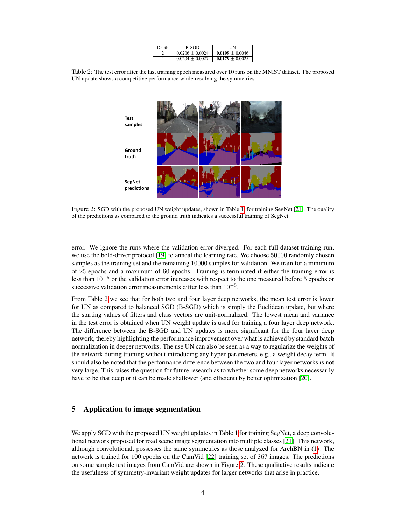| Depth | B-SGD               | НN                  |
|-------|---------------------|---------------------|
|       | $0.0206 \pm 0.0024$ | $0.0199 \pm 0.0046$ |
| Δ     | $0.0204 \pm 0.0027$ | $0.0179 \pm 0.0025$ |

<span id="page-3-0"></span>Table 2: The test error after the last training epoch measured over 10 runs on the MNIST dataset. The proposed UN update shows a competitive performance while resolving the symmetries.



<span id="page-3-1"></span>Figure 2: SGD with the proposed UN weight updates, shown in Table [1,](#page-2-1) for training SegNet [\[21\]](#page-5-1). The quality of the predictions as compared to the ground truth indicates a successful training of SegNet.

error. We ignore the runs where the validation error diverged. For each full dataset training run, we use the bold-driver protocol [\[19\]](#page-5-2) to anneal the learning rate. We choose 50000 randomly chosen samples as the training set and the remaining 10000 samples for validation. We train for a minimum of 25 epochs and a maximum of 60 epochs. Training is terminated if either the training error is less than  $10^{-5}$  or the validation error increases with respect to the one measured before 5 epochs or successive validation error measurements differ less than  $10^{-5}$ .

From Table [2](#page-3-0) we see that for both two and four layer deep networks, the mean test error is lower for UN as compared to balanced SGD (B-SGD) which is simply the Euclidean update, but where the starting values of filters and class vectors are unit-normalized. The lowest mean and variance in the test error is obtained when UN weight update is used for training a four layer deep network. The difference between the B-SGD and UN updates is more significant for the four layer deep network, thereby highlighting the performance improvement over what is achieved by standard batch normalization in deeper networks. The use UN can also be seen as a way to regularize the weights of the network during training without introducing any hyper-parameters, e.g., a weight decay term. It should also be noted that the performance difference between the two and four layer networks is not very large. This raises the question for future research as to whether some deep networks necessarily have to be that deep or it can be made shallower (and efficient) by better optimization [\[20\]](#page-5-3).

## 5 Application to image segmentation

We apply SGD with the proposed UN weight updates in Table [1](#page-2-1) for training SegNet, a deep convolutional network proposed for road scene image segmentation into multiple classes [\[21\]](#page-5-1). This network, although convolutional, possesses the same symmetries as those analyzed for ArchBN in [\(1\)](#page-1-2). The network is trained for 100 epochs on the CamVid [\[22\]](#page-5-4) training set of 367 images. The predictions on some sample test images from CamVid are shown in Figure [2.](#page-3-1) These qualitative results indicate the usefulness of symmetry-invariant weight updates for larger networks that arise in practice.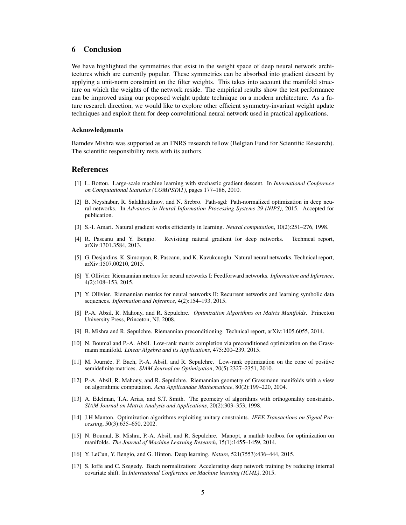## 6 Conclusion

We have highlighted the symmetries that exist in the weight space of deep neural network architectures which are currently popular. These symmetries can be absorbed into gradient descent by applying a unit-norm constraint on the filter weights. This takes into account the manifold structure on which the weights of the network reside. The empirical results show the test performance can be improved using our proposed weight update technique on a modern architecture. As a future research direction, we would like to explore other efficient symmetry-invariant weight update techniques and exploit them for deep convolutional neural network used in practical applications.

#### Acknowledgments

Bamdev Mishra was supported as an FNRS research fellow (Belgian Fund for Scientific Research). The scientific responsibility rests with its authors.

#### References

- <span id="page-4-0"></span>[1] L. Bottou. Large-scale machine learning with stochastic gradient descent. In *International Conference on Computational Statistics (COMPSTAT)*, pages 177–186, 2010.
- <span id="page-4-1"></span>[2] B. Neyshabur, R. Salakhutdinov, and N. Srebro. Path-sgd: Path-normalized optimization in deep neural networks. In *Advances in Neural Information Processing Systems 29 (NIPS)*, 2015. Accepted for publication.
- <span id="page-4-2"></span>[3] S.-I. Amari. Natural gradient works efficiently in learning. *Neural computation*, 10(2):251–276, 1998.
- <span id="page-4-3"></span>[4] R. Pascanu and Y. Bengio. Revisiting natural gradient for deep networks. Technical report, arXiv:1301.3584, 2013.
- <span id="page-4-4"></span>[5] G. Desjardins, K. Simonyan, R. Pascanu, and K. Kavukcuoglu. Natural neural networks. Technical report, arXiv:1507.00210, 2015.
- <span id="page-4-5"></span>[6] Y. Ollivier. Riemannian metrics for neural networks I: Feedforward networks. *Information and Inference*, 4(2):108–153, 2015.
- <span id="page-4-6"></span>[7] Y. Ollivier. Riemannian metrics for neural networks II: Recurrent networks and learning symbolic data sequences. *Information and Inference*, 4(2):154–193, 2015.
- <span id="page-4-7"></span>[8] P.-A. Absil, R. Mahony, and R. Sepulchre. *Optimization Algorithms on Matrix Manifolds*. Princeton University Press, Princeton, NJ, 2008.
- <span id="page-4-8"></span>[9] B. Mishra and R. Sepulchre. Riemannian preconditioning. Technical report, arXiv:1405.6055, 2014.
- <span id="page-4-9"></span>[10] N. Boumal and P.-A. Absil. Low-rank matrix completion via preconditioned optimization on the Grassmann manifold. *Linear Algebra and its Applications*, 475:200–239, 2015.
- <span id="page-4-10"></span>[11] M. Journée, F. Bach, P.-A. Absil, and R. Sepulchre. Low-rank optimization on the cone of positive semidefinite matrices. *SIAM Journal on Optimization*, 20(5):2327–2351, 2010.
- <span id="page-4-11"></span>[12] P.-A. Absil, R. Mahony, and R. Sepulchre. Riemannian geometry of Grassmann manifolds with a view on algorithmic computation. *Acta Applicandae Mathematicae*, 80(2):199–220, 2004.
- <span id="page-4-12"></span>[13] A. Edelman, T.A. Arias, and S.T. Smith. The geometry of algorithms with orthogonality constraints. *SIAM Journal on Matrix Analysis and Applications*, 20(2):303–353, 1998.
- <span id="page-4-13"></span>[14] J.H Manton. Optimization algorithms exploiting unitary constraints. *IEEE Transactions on Signal Processing*, 50(3):635–650, 2002.
- <span id="page-4-15"></span>[15] N. Boumal, B. Mishra, P.-A. Absil, and R. Sepulchre. Manopt, a matlab toolbox for optimization on manifolds. *The Journal of Machine Learning Research*, 15(1):1455–1459, 2014.
- <span id="page-4-16"></span>[16] Y. LeCun, Y. Bengio, and G. Hinton. Deep learning. *Nature*, 521(7553):436–444, 2015.
- <span id="page-4-14"></span>[17] S. Ioffe and C. Szegedy. Batch normalization: Accelerating deep network training by reducing internal covariate shift. In *International Conference on Machine learning (ICML)*, 2015.